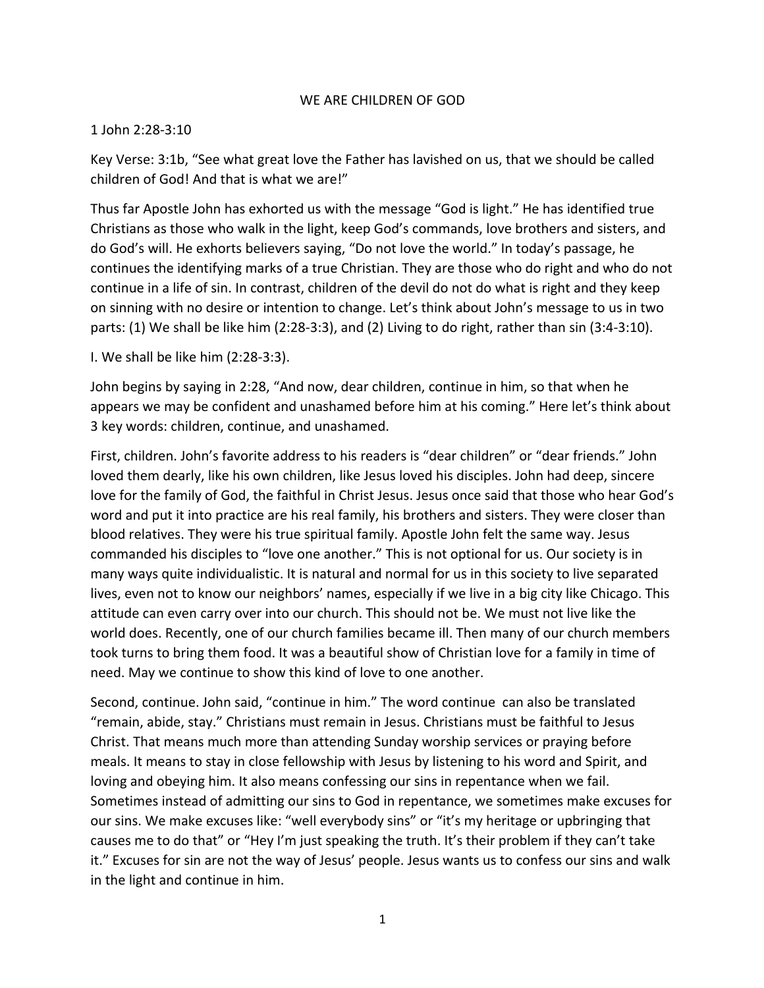## WE ARE CHILDREN OF GOD

## 1 John 2:28-3:10

Key Verse: 3:1b, "See what great love the Father has lavished on us, that we should be called children of God! And that is what we are!"

Thus far Apostle John has exhorted us with the message "God is light." He has identified true Christians as those who walk in the light, keep God's commands, love brothers and sisters, and do God's will. He exhorts believers saying, "Do not love the world." In today's passage, he continues the identifying marks of a true Christian. They are those who do right and who do not continue in a life of sin. In contrast, children of the devil do not do what is right and they keep on sinning with no desire or intention to change. Let's think about John's message to us in two parts: (1) We shall be like him (2:28-3:3), and (2) Living to do right, rather than sin (3:4-3:10).

I. We shall be like him (2:28-3:3).

John begins by saying in 2:28, "And now, dear children, continue in him, so that when he appears we may be confident and unashamed before him at his coming." Here let's think about 3 key words: children, continue, and unashamed.

First, children. John's favorite address to his readers is "dear children" or "dear friends." John loved them dearly, like his own children, like Jesus loved his disciples. John had deep, sincere love for the family of God, the faithful in Christ Jesus. Jesus once said that those who hear God's word and put it into practice are his real family, his brothers and sisters. They were closer than blood relatives. They were his true spiritual family. Apostle John felt the same way. Jesus commanded his disciples to "love one another." This is not optional for us. Our society is in many ways quite individualistic. It is natural and normal for us in this society to live separated lives, even not to know our neighbors' names, especially if we live in a big city like Chicago. This attitude can even carry over into our church. This should not be. We must not live like the world does. Recently, one of our church families became ill. Then many of our church members took turns to bring them food. It was a beautiful show of Christian love for a family in time of need. May we continue to show this kind of love to one another.

Second, continue. John said, "continue in him." The word continue can also be translated "remain, abide, stay." Christians must remain in Jesus. Christians must be faithful to Jesus Christ. That means much more than attending Sunday worship services or praying before meals. It means to stay in close fellowship with Jesus by listening to his word and Spirit, and loving and obeying him. It also means confessing our sins in repentance when we fail. Sometimes instead of admitting our sins to God in repentance, we sometimes make excuses for our sins. We make excuses like: "well everybody sins" or "it's my heritage or upbringing that causes me to do that" or "Hey I'm just speaking the truth. It's their problem if they can't take it." Excuses for sin are not the way of Jesus' people. Jesus wants us to confess our sins and walk in the light and continue in him.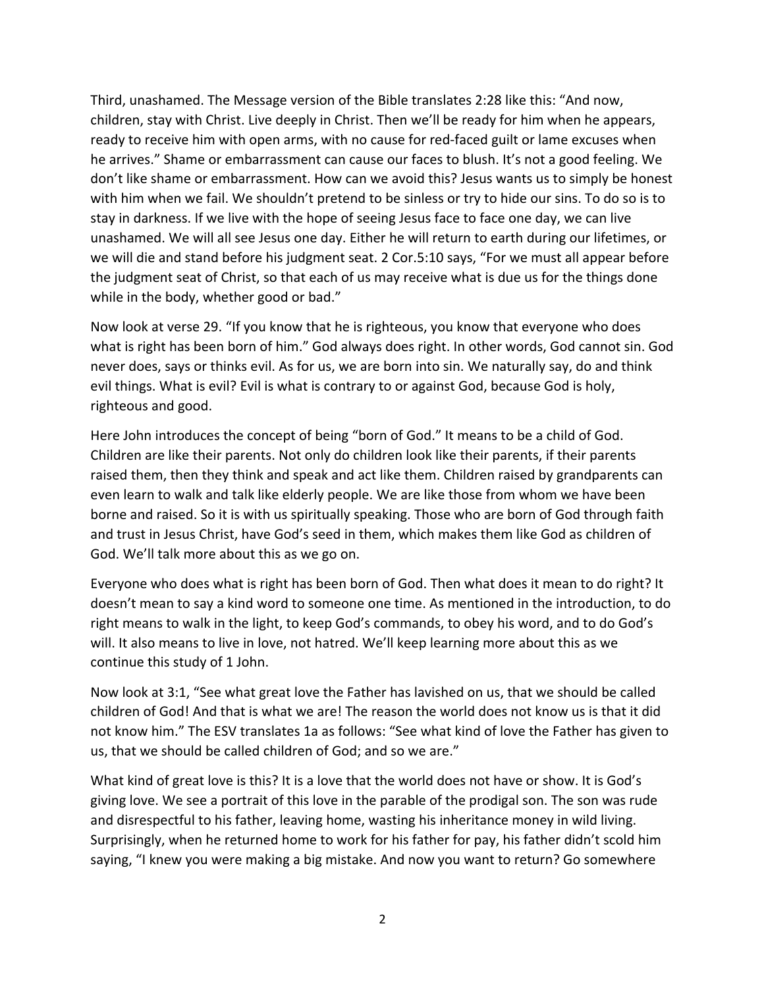Third, unashamed. The Message version of the Bible translates 2:28 like this: "And now, children, stay with Christ. Live deeply in Christ. Then we'll be ready for him when he appears, ready to receive him with open arms, with no cause for red-faced guilt or lame excuses when he arrives." Shame or embarrassment can cause our faces to blush. It's not a good feeling. We don't like shame or embarrassment. How can we avoid this? Jesus wants us to simply be honest with him when we fail. We shouldn't pretend to be sinless or try to hide our sins. To do so is to stay in darkness. If we live with the hope of seeing Jesus face to face one day, we can live unashamed. We will all see Jesus one day. Either he will return to earth during our lifetimes, or we will die and stand before his judgment seat. 2 Cor.5:10 says, "For we must all appear before the judgment seat of Christ, so that each of us may receive what is due us for the things done while in the body, whether good or bad."

Now look at verse 29. "If you know that he is righteous, you know that everyone who does what is right has been born of him." God always does right. In other words, God cannot sin. God never does, says or thinks evil. As for us, we are born into sin. We naturally say, do and think evil things. What is evil? Evil is what is contrary to or against God, because God is holy, righteous and good.

Here John introduces the concept of being "born of God." It means to be a child of God. Children are like their parents. Not only do children look like their parents, if their parents raised them, then they think and speak and act like them. Children raised by grandparents can even learn to walk and talk like elderly people. We are like those from whom we have been borne and raised. So it is with us spiritually speaking. Those who are born of God through faith and trust in Jesus Christ, have God's seed in them, which makes them like God as children of God. We'll talk more about this as we go on.

Everyone who does what is right has been born of God. Then what does it mean to do right? It doesn't mean to say a kind word to someone one time. As mentioned in the introduction, to do right means to walk in the light, to keep God's commands, to obey his word, and to do God's will. It also means to live in love, not hatred. We'll keep learning more about this as we continue this study of 1 John.

Now look at 3:1, "See what great love the Father has lavished on us, that we should be called children of God! And that is what we are! The reason the world does not know us is that it did not know him." The ESV translates 1a as follows: "See what kind of love the Father has given to us, that we should be called children of God; and so we are."

What kind of great love is this? It is a love that the world does not have or show. It is God's giving love. We see a portrait of this love in the parable of the prodigal son. The son was rude and disrespectful to his father, leaving home, wasting his inheritance money in wild living. Surprisingly, when he returned home to work for his father for pay, his father didn't scold him saying, "I knew you were making a big mistake. And now you want to return? Go somewhere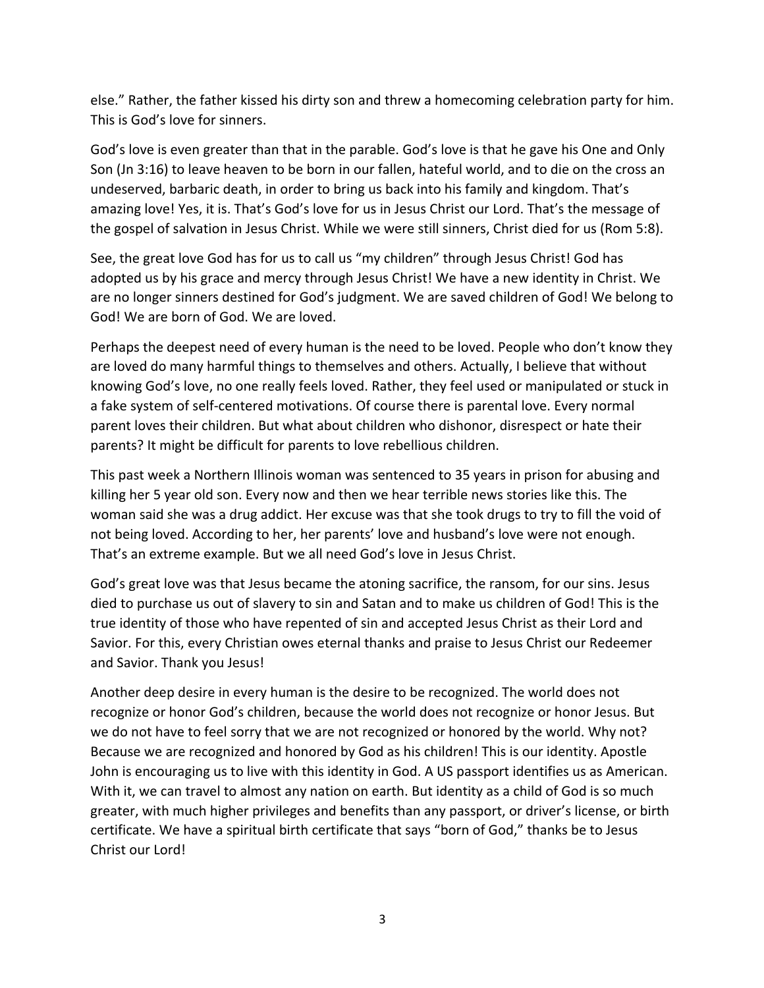else." Rather, the father kissed his dirty son and threw a homecoming celebration party for him. This is God's love for sinners.

God's love is even greater than that in the parable. God's love is that he gave his One and Only Son (Jn 3:16) to leave heaven to be born in our fallen, hateful world, and to die on the cross an undeserved, barbaric death, in order to bring us back into his family and kingdom. That's amazing love! Yes, it is. That's God's love for us in Jesus Christ our Lord. That's the message of the gospel of salvation in Jesus Christ. While we were still sinners, Christ died for us (Rom 5:8).

See, the great love God has for us to call us "my children" through Jesus Christ! God has adopted us by his grace and mercy through Jesus Christ! We have a new identity in Christ. We are no longer sinners destined for God's judgment. We are saved children of God! We belong to God! We are born of God. We are loved.

Perhaps the deepest need of every human is the need to be loved. People who don't know they are loved do many harmful things to themselves and others. Actually, I believe that without knowing God's love, no one really feels loved. Rather, they feel used or manipulated or stuck in a fake system of self-centered motivations. Of course there is parental love. Every normal parent loves their children. But what about children who dishonor, disrespect or hate their parents? It might be difficult for parents to love rebellious children.

This past week a Northern Illinois woman was sentenced to 35 years in prison for abusing and killing her 5 year old son. Every now and then we hear terrible news stories like this. The woman said she was a drug addict. Her excuse was that she took drugs to try to fill the void of not being loved. According to her, her parents' love and husband's love were not enough. That's an extreme example. But we all need God's love in Jesus Christ.

God's great love was that Jesus became the atoning sacrifice, the ransom, for our sins. Jesus died to purchase us out of slavery to sin and Satan and to make us children of God! This is the true identity of those who have repented of sin and accepted Jesus Christ as their Lord and Savior. For this, every Christian owes eternal thanks and praise to Jesus Christ our Redeemer and Savior. Thank you Jesus!

Another deep desire in every human is the desire to be recognized. The world does not recognize or honor God's children, because the world does not recognize or honor Jesus. But we do not have to feel sorry that we are not recognized or honored by the world. Why not? Because we are recognized and honored by God as his children! This is our identity. Apostle John is encouraging us to live with this identity in God. A US passport identifies us as American. With it, we can travel to almost any nation on earth. But identity as a child of God is so much greater, with much higher privileges and benefits than any passport, or driver's license, or birth certificate. We have a spiritual birth certificate that says "born of God," thanks be to Jesus Christ our Lord!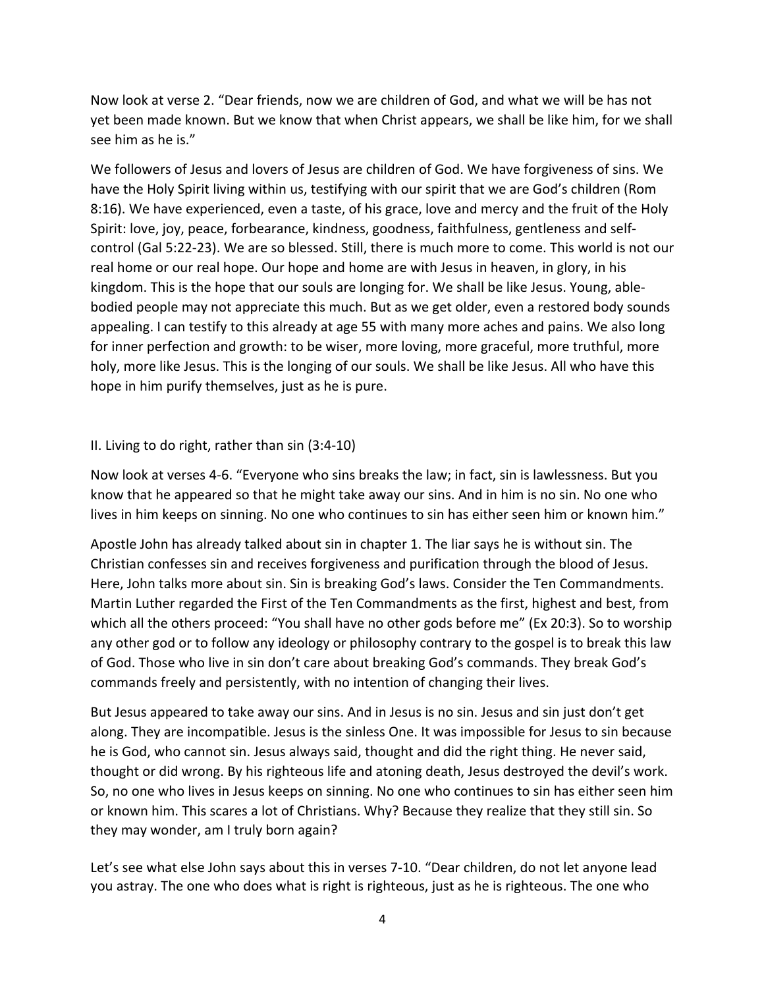Now look at verse 2. "Dear friends, now we are children of God, and what we will be has not yet been made known. But we know that when Christ appears, we shall be like him, for we shall see him as he is."

We followers of Jesus and lovers of Jesus are children of God. We have forgiveness of sins. We have the Holy Spirit living within us, testifying with our spirit that we are God's children (Rom 8:16). We have experienced, even a taste, of his grace, love and mercy and the fruit of the Holy Spirit: love, joy, peace, forbearance, kindness, goodness, faithfulness, gentleness and selfcontrol (Gal 5:22-23). We are so blessed. Still, there is much more to come. This world is not our real home or our real hope. Our hope and home are with Jesus in heaven, in glory, in his kingdom. This is the hope that our souls are longing for. We shall be like Jesus. Young, ablebodied people may not appreciate this much. But as we get older, even a restored body sounds appealing. I can testify to this already at age 55 with many more aches and pains. We also long for inner perfection and growth: to be wiser, more loving, more graceful, more truthful, more holy, more like Jesus. This is the longing of our souls. We shall be like Jesus. All who have this hope in him purify themselves, just as he is pure.

## II. Living to do right, rather than sin (3:4-10)

Now look at verses 4-6. "Everyone who sins breaks the law; in fact, sin is lawlessness. But you know that he appeared so that he might take away our sins. And in him is no sin. No one who lives in him keeps on sinning. No one who continues to sin has either seen him or known him."

Apostle John has already talked about sin in chapter 1. The liar says he is without sin. The Christian confesses sin and receives forgiveness and purification through the blood of Jesus. Here, John talks more about sin. Sin is breaking God's laws. Consider the Ten Commandments. Martin Luther regarded the First of the Ten Commandments as the first, highest and best, from which all the others proceed: "You shall have no other gods before me" (Ex 20:3). So to worship any other god or to follow any ideology or philosophy contrary to the gospel is to break this law of God. Those who live in sin don't care about breaking God's commands. They break God's commands freely and persistently, with no intention of changing their lives.

But Jesus appeared to take away our sins. And in Jesus is no sin. Jesus and sin just don't get along. They are incompatible. Jesus is the sinless One. It was impossible for Jesus to sin because he is God, who cannot sin. Jesus always said, thought and did the right thing. He never said, thought or did wrong. By his righteous life and atoning death, Jesus destroyed the devil's work. So, no one who lives in Jesus keeps on sinning. No one who continues to sin has either seen him or known him. This scares a lot of Christians. Why? Because they realize that they still sin. So they may wonder, am I truly born again?

Let's see what else John says about this in verses 7-10. "Dear children, do not let anyone lead you astray. The one who does what is right is righteous, just as he is righteous. The one who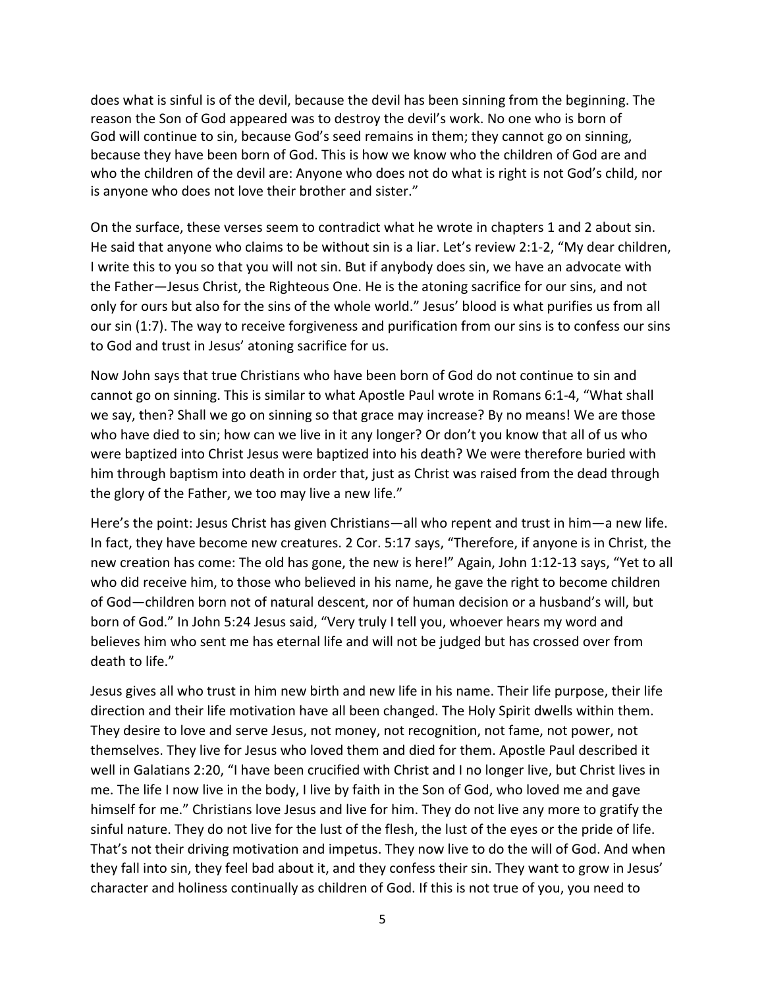does what is sinful is of the devil, because the devil has been sinning from the beginning. The reason the Son of God appeared was to destroy the devil's work. No one who is born of God will continue to sin, because God's seed remains in them; they cannot go on sinning, because they have been born of God. This is how we know who the children of God are and who the children of the devil are: Anyone who does not do what is right is not God's child, nor is anyone who does not love their brother and sister."

On the surface, these verses seem to contradict what he wrote in chapters 1 and 2 about sin. He said that anyone who claims to be without sin is a liar. Let's review 2:1-2, "My dear children, I write this to you so that you will not sin. But if anybody does sin, we have an advocate with the Father—Jesus Christ, the Righteous One. He is the atoning sacrifice for our sins, and not only for ours but also for the sins of the whole world." Jesus' blood is what purifies us from all our sin (1:7). The way to receive forgiveness and purification from our sins is to confess our sins to God and trust in Jesus' atoning sacrifice for us.

Now John says that true Christians who have been born of God do not continue to sin and cannot go on sinning. This is similar to what Apostle Paul wrote in Romans 6:1-4, "What shall we say, then? Shall we go on sinning so that grace may increase? By no means! We are those who have died to sin; how can we live in it any longer? Or don't you know that all of us who were baptized into Christ Jesus were baptized into his death? We were therefore buried with him through baptism into death in order that, just as Christ was raised from the dead through the glory of the Father, we too may live a new life."

Here's the point: Jesus Christ has given Christians—all who repent and trust in him—a new life. In fact, they have become new creatures. 2 Cor. 5:17 says, "Therefore, if anyone is in Christ, the new creation has come: The old has gone, the new is here!" Again, John 1:12-13 says, "Yet to all who did receive him, to those who believed in his name, he gave the right to become children of God—children born not of natural descent, nor of human decision or a husband's will, but born of God." In John 5:24 Jesus said, "Very truly I tell you, whoever hears my word and believes him who sent me has eternal life and will not be judged but has crossed over from death to life."

Jesus gives all who trust in him new birth and new life in his name. Their life purpose, their life direction and their life motivation have all been changed. The Holy Spirit dwells within them. They desire to love and serve Jesus, not money, not recognition, not fame, not power, not themselves. They live for Jesus who loved them and died for them. Apostle Paul described it well in Galatians 2:20, "I have been crucified with Christ and I no longer live, but Christ lives in me. The life I now live in the body, I live by faith in the Son of God, who loved me and gave himself for me." Christians love Jesus and live for him. They do not live any more to gratify the sinful nature. They do not live for the lust of the flesh, the lust of the eyes or the pride of life. That's not their driving motivation and impetus. They now live to do the will of God. And when they fall into sin, they feel bad about it, and they confess their sin. They want to grow in Jesus' character and holiness continually as children of God. If this is not true of you, you need to